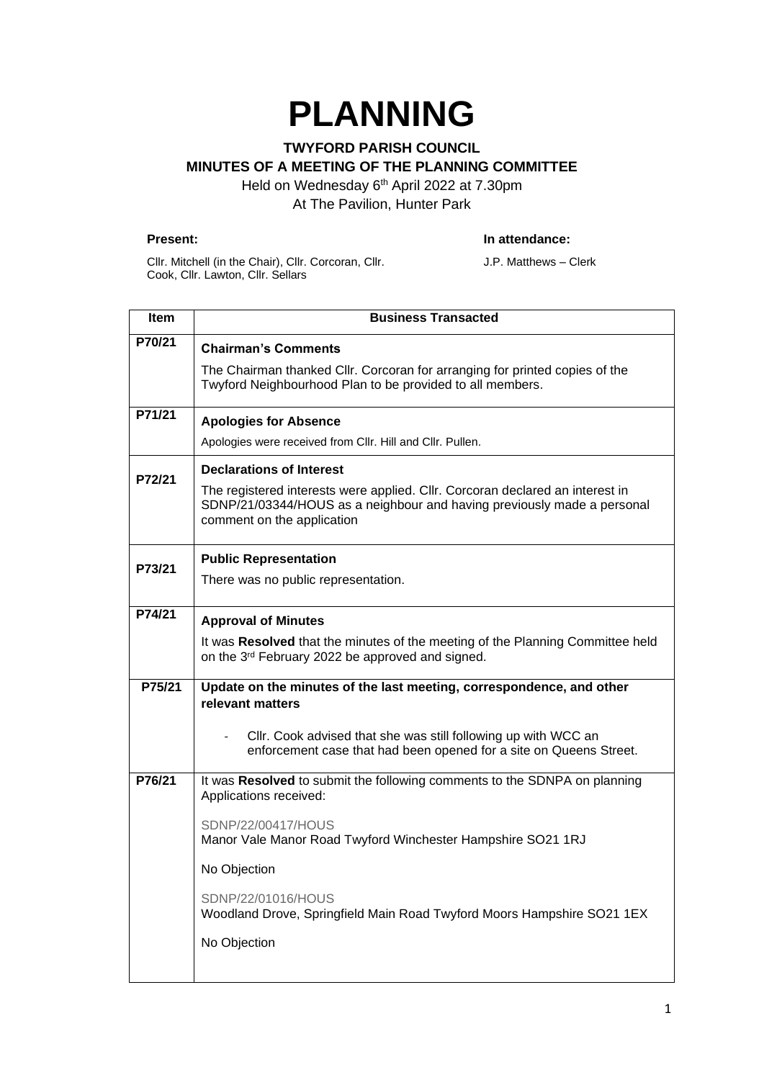# **PLANNING**

## **TWYFORD PARISH COUNCIL MINUTES OF A MEETING OF THE PLANNING COMMITTEE**

Held on Wednesday 6<sup>th</sup> April 2022 at 7.30pm At The Pavilion, Hunter Park

#### **Present: In attendance:**

Cllr. Mitchell (in the Chair), Cllr. Corcoran, Cllr. Cook, Cllr. Lawton, Cllr. Sellars

J.P. Matthews – Clerk

| Item   | <b>Business Transacted</b>                                                                                                                                                             |
|--------|----------------------------------------------------------------------------------------------------------------------------------------------------------------------------------------|
| P70/21 | <b>Chairman's Comments</b>                                                                                                                                                             |
|        | The Chairman thanked Cllr. Corcoran for arranging for printed copies of the<br>Twyford Neighbourhood Plan to be provided to all members.                                               |
| P71/21 | <b>Apologies for Absence</b>                                                                                                                                                           |
|        | Apologies were received from Cllr. Hill and Cllr. Pullen.                                                                                                                              |
| P72/21 | <b>Declarations of Interest</b>                                                                                                                                                        |
|        | The registered interests were applied. Cllr. Corcoran declared an interest in<br>SDNP/21/03344/HOUS as a neighbour and having previously made a personal<br>comment on the application |
| P73/21 | <b>Public Representation</b>                                                                                                                                                           |
|        | There was no public representation.                                                                                                                                                    |
| P74/21 | <b>Approval of Minutes</b>                                                                                                                                                             |
|        | It was Resolved that the minutes of the meeting of the Planning Committee held<br>on the 3 <sup>rd</sup> February 2022 be approved and signed.                                         |
| P75/21 | Update on the minutes of the last meeting, correspondence, and other<br>relevant matters                                                                                               |
|        | Cllr. Cook advised that she was still following up with WCC an<br>enforcement case that had been opened for a site on Queens Street.                                                   |
| P76/21 | It was Resolved to submit the following comments to the SDNPA on planning<br>Applications received:                                                                                    |
|        | SDNP/22/00417/HOUS<br>Manor Vale Manor Road Twyford Winchester Hampshire SO21 1RJ                                                                                                      |
|        | No Objection                                                                                                                                                                           |
|        | SDNP/22/01016/HOUS<br>Woodland Drove, Springfield Main Road Twyford Moors Hampshire SO21 1EX                                                                                           |
|        | No Objection                                                                                                                                                                           |
|        |                                                                                                                                                                                        |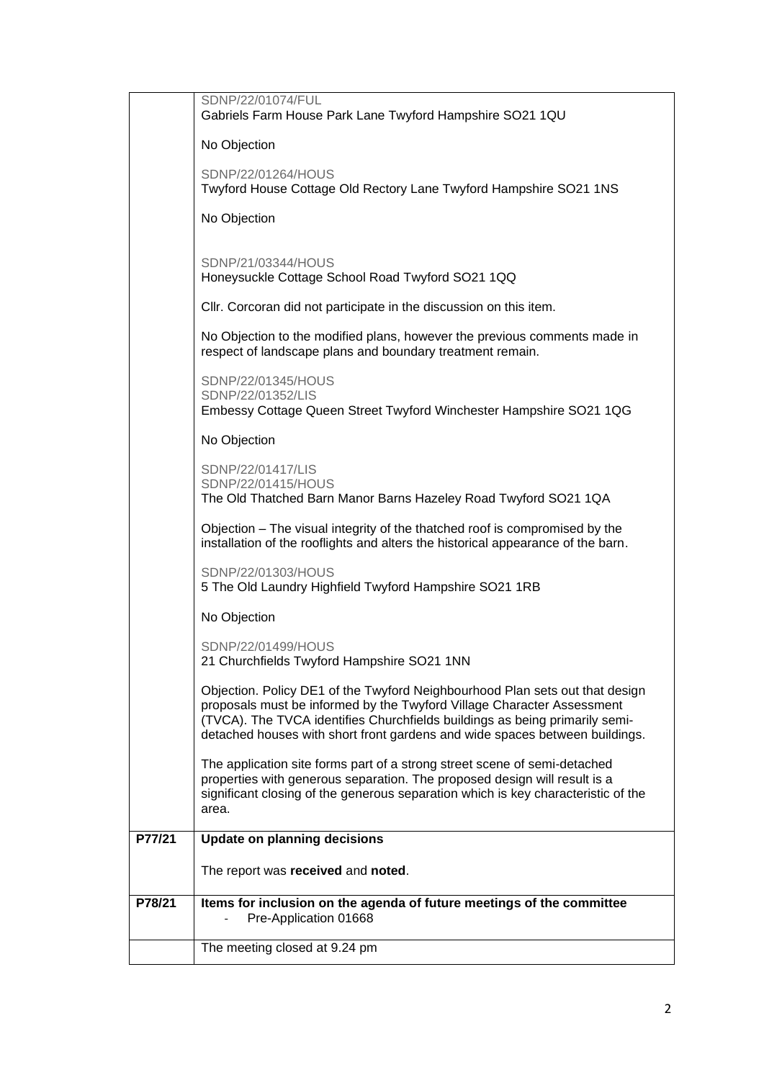|        | SDNP/22/01074/FUL                                                                                                                                                                                                                                                                                                    |
|--------|----------------------------------------------------------------------------------------------------------------------------------------------------------------------------------------------------------------------------------------------------------------------------------------------------------------------|
|        | Gabriels Farm House Park Lane Twyford Hampshire SO21 1QU                                                                                                                                                                                                                                                             |
|        | No Objection                                                                                                                                                                                                                                                                                                         |
|        | SDNP/22/01264/HOUS<br>Twyford House Cottage Old Rectory Lane Twyford Hampshire SO21 1NS                                                                                                                                                                                                                              |
|        | No Objection                                                                                                                                                                                                                                                                                                         |
|        | SDNP/21/03344/HOUS<br>Honeysuckle Cottage School Road Twyford SO21 1QQ                                                                                                                                                                                                                                               |
|        | CIIr. Corcoran did not participate in the discussion on this item.                                                                                                                                                                                                                                                   |
|        | No Objection to the modified plans, however the previous comments made in<br>respect of landscape plans and boundary treatment remain.                                                                                                                                                                               |
|        | SDNP/22/01345/HOUS<br>SDNP/22/01352/LIS<br>Embessy Cottage Queen Street Twyford Winchester Hampshire SO21 1QG                                                                                                                                                                                                        |
|        | No Objection                                                                                                                                                                                                                                                                                                         |
|        | SDNP/22/01417/LIS<br>SDNP/22/01415/HOUS<br>The Old Thatched Barn Manor Barns Hazeley Road Twyford SO21 1QA                                                                                                                                                                                                           |
|        | Objection - The visual integrity of the thatched roof is compromised by the<br>installation of the rooflights and alters the historical appearance of the barn.                                                                                                                                                      |
|        | SDNP/22/01303/HOUS<br>5 The Old Laundry Highfield Twyford Hampshire SO21 1RB                                                                                                                                                                                                                                         |
|        | No Objection                                                                                                                                                                                                                                                                                                         |
|        | SDNP/22/01499/HOUS<br>21 Churchfields Twyford Hampshire SO21 1NN                                                                                                                                                                                                                                                     |
|        | Objection. Policy DE1 of the Twyford Neighbourhood Plan sets out that design<br>proposals must be informed by the Twyford Village Character Assessment<br>(TVCA). The TVCA identifies Churchfields buildings as being primarily semi-<br>detached houses with short front gardens and wide spaces between buildings. |
|        | The application site forms part of a strong street scene of semi-detached<br>properties with generous separation. The proposed design will result is a<br>significant closing of the generous separation which is key characteristic of the<br>area.                                                                 |
| P77/21 | <b>Update on planning decisions</b>                                                                                                                                                                                                                                                                                  |
|        | The report was received and noted.                                                                                                                                                                                                                                                                                   |
| P78/21 | Items for inclusion on the agenda of future meetings of the committee<br>Pre-Application 01668                                                                                                                                                                                                                       |
|        | The meeting closed at 9.24 pm                                                                                                                                                                                                                                                                                        |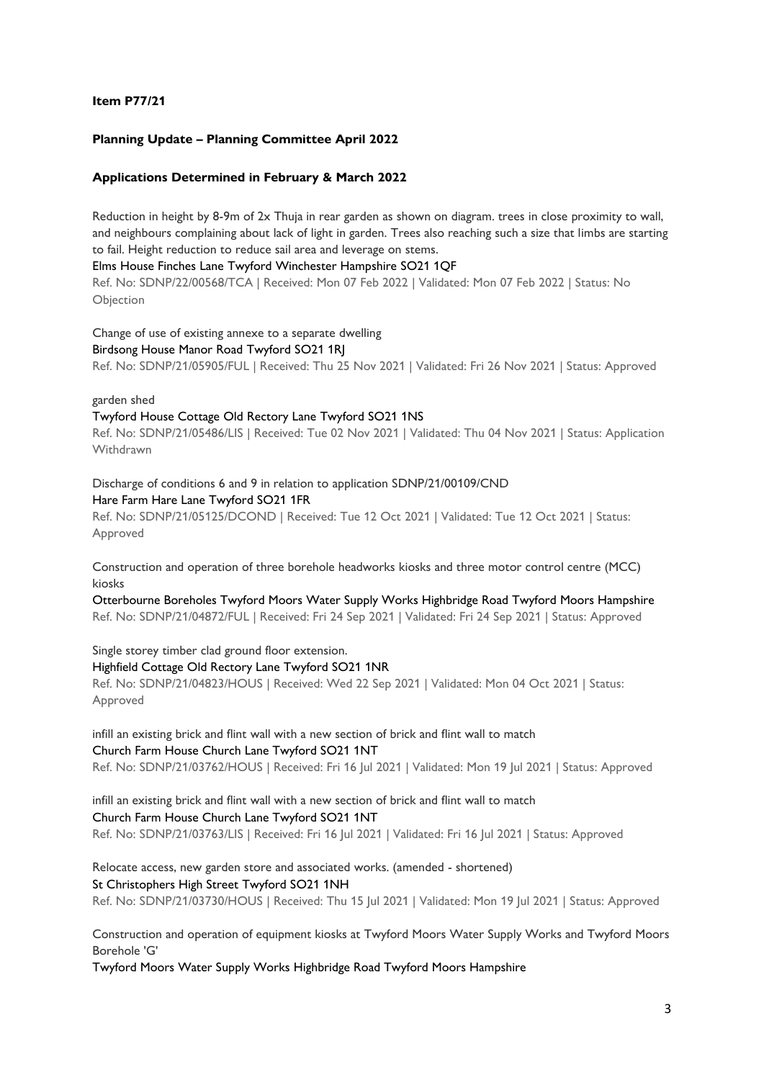#### **Item P77/21**

#### **Planning Update – Planning Committee April 2022**

#### **Applications Determined in February & March 2022**

Reduction in height by 8-9m of 2x Thuja in rear garden as shown on diagram. trees in close proximity to wall, and neighbours complaining about lack of light in garden. Trees also reaching such a size that limbs are starting to fail. Height reduction to reduce sail area and leverage on stems.

#### Elms House Finches Lane Twyford Winchester Hampshire SO21 1QF

Ref. No: SDNP/22/00568/TCA | Received: Mon 07 Feb 2022 | Validated: Mon 07 Feb 2022 | Status: No Objection

Change of use of existing annexe to a separate dwelling

#### Birdsong House Manor Road Twyford SO21 1RJ

Ref. No: SDNP/21/05905/FUL | Received: Thu 25 Nov 2021 | Validated: Fri 26 Nov 2021 | Status: Approved

#### garden shed

#### Twyford House Cottage Old Rectory Lane Twyford SO21 1NS

Ref. No: SDNP/21/05486/LIS | Received: Tue 02 Nov 2021 | Validated: Thu 04 Nov 2021 | Status: Application Withdrawn

Discharge of conditions 6 and 9 in relation to application SDNP/21/00109/CND Hare Farm Hare Lane Twyford SO21 1FR

Ref. No: SDNP/21/05125/DCOND | Received: Tue 12 Oct 2021 | Validated: Tue 12 Oct 2021 | Status: Approved

Construction and operation of three borehole headworks kiosks and three motor control centre (MCC) kiosks

Otterbourne Boreholes Twyford Moors Water Supply Works Highbridge Road Twyford Moors Hampshire Ref. No: SDNP/21/04872/FUL | Received: Fri 24 Sep 2021 | Validated: Fri 24 Sep 2021 | Status: Approved

Single storey timber clad ground floor extension. Highfield Cottage Old Rectory Lane Twyford SO21 1NR Ref. No: SDNP/21/04823/HOUS | Received: Wed 22 Sep 2021 | Validated: Mon 04 Oct 2021 | Status: Approved

infill an existing brick and flint wall with a new section of brick and flint wall to match Church Farm House Church Lane Twyford SO21 1NT Ref. No: SDNP/21/03762/HOUS | Received: Fri 16 Jul 2021 | Validated: Mon 19 Jul 2021 | Status: Approved

infill an existing brick and flint wall with a new section of brick and flint wall to match Church Farm House Church Lane Twyford SO21 1NT Ref. No: SDNP/21/03763/LIS | Received: Fri 16 Jul 2021 | Validated: Fri 16 Jul 2021 | Status: Approved

Relocate access, new garden store and associated works. (amended - shortened) St Christophers High Street Twyford SO21 1NH Ref. No: SDNP/21/03730/HOUS | Received: Thu 15 Jul 2021 | Validated: Mon 19 Jul 2021 | Status: Approved

Construction and operation of equipment kiosks at Twyford Moors Water Supply Works and Twyford Moors Borehole 'G'

Twyford Moors Water Supply Works Highbridge Road Twyford Moors Hampshire